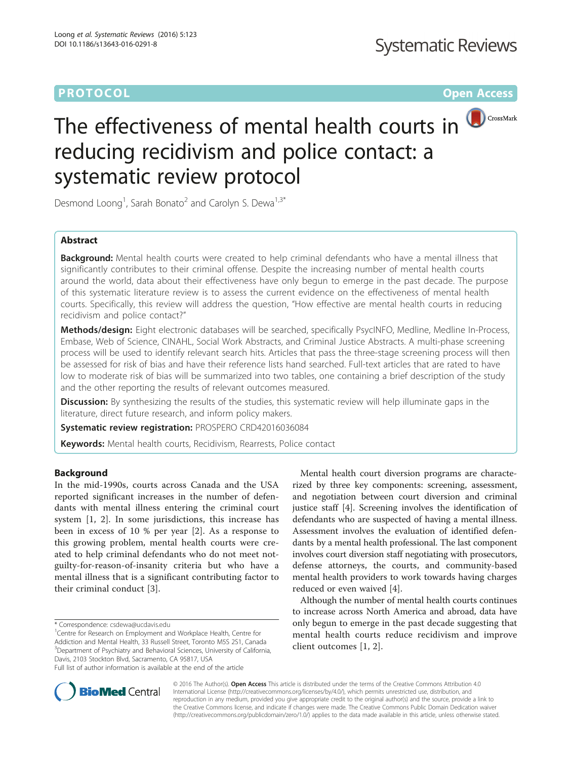# **PROTOCOL CONSUMING THE CONSUMING TEACHER CONSUMING THE CONSUMING TEACHER CONSUMING THE CONSUMING TEACHER CONSUMING**



# The effectiveness of mental health courts in reducing recidivism and police contact: a systematic review protocol

Desmond Loong<sup>1</sup>, Sarah Bonato<sup>2</sup> and Carolyn S. Dewa<sup>1,3\*</sup>

## Abstract

Background: Mental health courts were created to help criminal defendants who have a mental illness that significantly contributes to their criminal offense. Despite the increasing number of mental health courts around the world, data about their effectiveness have only begun to emerge in the past decade. The purpose of this systematic literature review is to assess the current evidence on the effectiveness of mental health courts. Specifically, this review will address the question, "How effective are mental health courts in reducing recidivism and police contact?"

Methods/design: Eight electronic databases will be searched, specifically PsycINFO, Medline, Medline In-Process, Embase, Web of Science, CINAHL, Social Work Abstracts, and Criminal Justice Abstracts. A multi-phase screening process will be used to identify relevant search hits. Articles that pass the three-stage screening process will then be assessed for risk of bias and have their reference lists hand searched. Full-text articles that are rated to have low to moderate risk of bias will be summarized into two tables, one containing a brief description of the study and the other reporting the results of relevant outcomes measured.

Discussion: By synthesizing the results of the studies, this systematic review will help illuminate gaps in the literature, direct future research, and inform policy makers.

Systematic review registration: PROSPERO CRD42016036084

Keywords: Mental health courts, Recidivism, Rearrests, Police contact

## **Background**

In the mid-1990s, courts across Canada and the USA reported significant increases in the number of defendants with mental illness entering the criminal court system [[1, 2\]](#page-3-0). In some jurisdictions, this increase has been in excess of 10 % per year [[2\]](#page-3-0). As a response to this growing problem, mental health courts were created to help criminal defendants who do not meet notguilty-for-reason-of-insanity criteria but who have a mental illness that is a significant contributing factor to their criminal conduct [\[3](#page-4-0)].

<sup>1</sup> Centre for Research on Employment and Workplace Health, Centre for Addiction and Mental Health, 33 Russell Street, Toronto M5S 2S1, Canada <sup>3</sup>Department of Psychiatry and Behavioral Sciences, University of California, Davis, 2103 Stockton Blvd, Sacramento, CA 95817, USA Full list of author information is available at the end of the article

Mental health court diversion programs are characterized by three key components: screening, assessment, and negotiation between court diversion and criminal justice staff [[4](#page-4-0)]. Screening involves the identification of defendants who are suspected of having a mental illness. Assessment involves the evaluation of identified defendants by a mental health professional. The last component involves court diversion staff negotiating with prosecutors, defense attorneys, the courts, and community-based mental health providers to work towards having charges reduced or even waived [[4\]](#page-4-0).

Although the number of mental health courts continues to increase across North America and abroad, data have only begun to emerge in the past decade suggesting that mental health courts reduce recidivism and improve client outcomes [[1](#page-3-0), [2](#page-3-0)].



© 2016 The Author(s). Open Access This article is distributed under the terms of the Creative Commons Attribution 4.0 International License [\(http://creativecommons.org/licenses/by/4.0/](http://creativecommons.org/licenses/by/4.0/)), which permits unrestricted use, distribution, and reproduction in any medium, provided you give appropriate credit to the original author(s) and the source, provide a link to the Creative Commons license, and indicate if changes were made. The Creative Commons Public Domain Dedication waiver [\(http://creativecommons.org/publicdomain/zero/1.0/](http://creativecommons.org/publicdomain/zero/1.0/)) applies to the data made available in this article, unless otherwise stated.

<sup>\*</sup> Correspondence: [csdewa@ucdavis.edu](mailto:csdewa@ucdavis.edu) <sup>1</sup>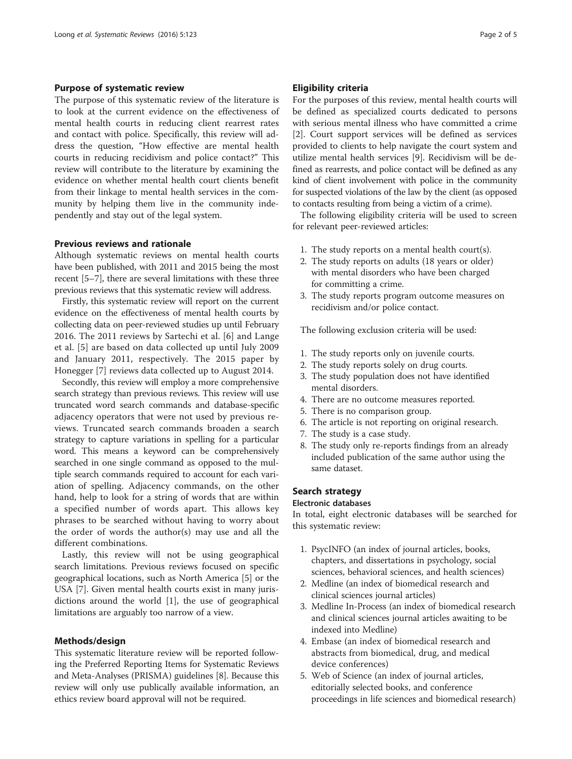## Purpose of systematic review

The purpose of this systematic review of the literature is to look at the current evidence on the effectiveness of mental health courts in reducing client rearrest rates and contact with police. Specifically, this review will address the question, "How effective are mental health courts in reducing recidivism and police contact?" This review will contribute to the literature by examining the evidence on whether mental health court clients benefit from their linkage to mental health services in the community by helping them live in the community independently and stay out of the legal system.

## Previous reviews and rationale

Although systematic reviews on mental health courts have been published, with 2011 and 2015 being the most recent [[5](#page-4-0)–[7](#page-4-0)], there are several limitations with these three previous reviews that this systematic review will address.

Firstly, this systematic review will report on the current evidence on the effectiveness of mental health courts by collecting data on peer-reviewed studies up until February 2016. The 2011 reviews by Sartechi et al. [[6\]](#page-4-0) and Lange et al. [[5\]](#page-4-0) are based on data collected up until July 2009 and January 2011, respectively. The 2015 paper by Honegger [[7\]](#page-4-0) reviews data collected up to August 2014.

Secondly, this review will employ a more comprehensive search strategy than previous reviews. This review will use truncated word search commands and database-specific adjacency operators that were not used by previous reviews. Truncated search commands broaden a search strategy to capture variations in spelling for a particular word. This means a keyword can be comprehensively searched in one single command as opposed to the multiple search commands required to account for each variation of spelling. Adjacency commands, on the other hand, help to look for a string of words that are within a specified number of words apart. This allows key phrases to be searched without having to worry about the order of words the author(s) may use and all the different combinations.

Lastly, this review will not be using geographical search limitations. Previous reviews focused on specific geographical locations, such as North America [[5\]](#page-4-0) or the USA [\[7\]](#page-4-0). Given mental health courts exist in many jurisdictions around the world [\[1\]](#page-3-0), the use of geographical limitations are arguably too narrow of a view.

## Methods/design

This systematic literature review will be reported following the Preferred Reporting Items for Systematic Reviews and Meta-Analyses (PRISMA) guidelines [[8\]](#page-4-0). Because this review will only use publically available information, an ethics review board approval will not be required.

## Eligibility criteria

For the purposes of this review, mental health courts will be defined as specialized courts dedicated to persons with serious mental illness who have committed a crime [[2\]](#page-3-0). Court support services will be defined as services provided to clients to help navigate the court system and utilize mental health services [\[9](#page-4-0)]. Recidivism will be defined as rearrests, and police contact will be defined as any kind of client involvement with police in the community for suspected violations of the law by the client (as opposed to contacts resulting from being a victim of a crime).

The following eligibility criteria will be used to screen for relevant peer-reviewed articles:

- 1. The study reports on a mental health court(s).
- 2. The study reports on adults (18 years or older) with mental disorders who have been charged for committing a crime.
- 3. The study reports program outcome measures on recidivism and/or police contact.

The following exclusion criteria will be used:

- 1. The study reports only on juvenile courts.
- 2. The study reports solely on drug courts.
- 3. The study population does not have identified mental disorders.
- 4. There are no outcome measures reported.
- 5. There is no comparison group.
- 6. The article is not reporting on original research.
- 7. The study is a case study.
- 8. The study only re-reports findings from an already included publication of the same author using the same dataset.

## Search strategy

#### Electronic databases

In total, eight electronic databases will be searched for this systematic review:

- 1. PsycINFO (an index of journal articles, books, chapters, and dissertations in psychology, social sciences, behavioral sciences, and health sciences)
- 2. Medline (an index of biomedical research and clinical sciences journal articles)
- 3. Medline In-Process (an index of biomedical research and clinical sciences journal articles awaiting to be indexed into Medline)
- 4. Embase (an index of biomedical research and abstracts from biomedical, drug, and medical device conferences)
- 5. Web of Science (an index of journal articles, editorially selected books, and conference proceedings in life sciences and biomedical research)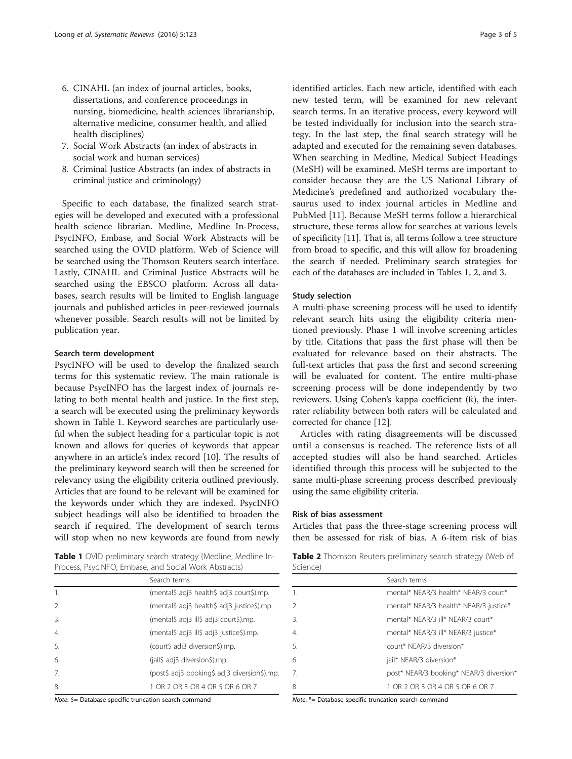- 6. CINAHL (an index of journal articles, books, dissertations, and conference proceedings in nursing, biomedicine, health sciences librarianship, alternative medicine, consumer health, and allied health disciplines)
- 7. Social Work Abstracts (an index of abstracts in social work and human services)
- 8. Criminal Justice Abstracts (an index of abstracts in criminal justice and criminology)

Specific to each database, the finalized search strategies will be developed and executed with a professional health science librarian. Medline, Medline In-Process, PsycINFO, Embase, and Social Work Abstracts will be searched using the OVID platform. Web of Science will be searched using the Thomson Reuters search interface. Lastly, CINAHL and Criminal Justice Abstracts will be searched using the EBSCO platform. Across all databases, search results will be limited to English language journals and published articles in peer-reviewed journals whenever possible. Search results will not be limited by publication year.

## Search term development

PsycINFO will be used to develop the finalized search terms for this systematic review. The main rationale is because PsycINFO has the largest index of journals relating to both mental health and justice. In the first step, a search will be executed using the preliminary keywords shown in Table 1. Keyword searches are particularly useful when the subject heading for a particular topic is not known and allows for queries of keywords that appear anywhere in an article's index record [[10\]](#page-4-0). The results of the preliminary keyword search will then be screened for relevancy using the eligibility criteria outlined previously. Articles that are found to be relevant will be examined for the keywords under which they are indexed. PsycINFO subject headings will also be identified to broaden the search if required. The development of search terms will stop when no new keywords are found from newly

Table 1 OVID preliminary search strategy (Medline, Medline In-Process, PsycINFO, Embase, and Social Work Abstracts)

|                  | Search terms                                 |
|------------------|----------------------------------------------|
| 1.               | (mental\$ adj3 health\$ adj3 court\$).mp.    |
| $\mathcal{L}$    | (mental\$ adj3 health\$ adj3 justice\$).mp.  |
| 3.               | (mental\$ adj3 ill\$ adj3 court\$).mp.       |
| $\overline{4}$ . | (mental\$ adj3 ill\$ adj3 justice\$).mp.     |
| 5.               | (court\$ adj3 diversion\$).mp.               |
| 6.               | (jail\$ adj3 diversion\$).mp.                |
| 7.               | (post\$ adj3 booking\$ adj3 diversion\$).mp. |
| 8.               | 1 OR 2 OR 3 OR 4 OR 5 OR 6 OR 7              |

Note: \$= Database specific truncation search command

identified articles. Each new article, identified with each new tested term, will be examined for new relevant search terms. In an iterative process, every keyword will be tested individually for inclusion into the search strategy. In the last step, the final search strategy will be adapted and executed for the remaining seven databases. When searching in Medline, Medical Subject Headings (MeSH) will be examined. MeSH terms are important to consider because they are the US National Library of Medicine's predefined and authorized vocabulary thesaurus used to index journal articles in Medline and PubMed [[11\]](#page-4-0). Because MeSH terms follow a hierarchical structure, these terms allow for searches at various levels of specificity [[11\]](#page-4-0). That is, all terms follow a tree structure from broad to specific, and this will allow for broadening the search if needed. Preliminary search strategies for each of the databases are included in Tables 1, 2, and [3](#page-3-0).

## Study selection

A multi-phase screening process will be used to identify relevant search hits using the eligibility criteria mentioned previously. Phase 1 will involve screening articles by title. Citations that pass the first phase will then be evaluated for relevance based on their abstracts. The full-text articles that pass the first and second screening will be evaluated for content. The entire multi-phase screening process will be done independently by two reviewers. Using Cohen's kappa coefficient (ƙ), the interrater reliability between both raters will be calculated and corrected for chance [[12\]](#page-4-0).

Articles with rating disagreements will be discussed until a consensus is reached. The reference lists of all accepted studies will also be hand searched. Articles identified through this process will be subjected to the same multi-phase screening process described previously using the same eligibility criteria.

## Risk of bias assessment

Articles that pass the three-stage screening process will then be assessed for risk of bias. A 6-item risk of bias

Table 2 Thomson Reuters preliminary search strategy (Web of Science)

|                | Search terms                            |
|----------------|-----------------------------------------|
| 1.             | mental* NEAR/3 health* NEAR/3 court*    |
| $\mathfrak{D}$ | mental* NEAR/3 health* NEAR/3 justice*  |
| 3.             | mental* NEAR/3 ill* NEAR/3 court*       |
| 4.             | mental* NEAR/3 ill* NEAR/3 justice*     |
| 5.             | court* NFAR/3 diversion*                |
| 6.             | jail* NEAR/3 diversion*                 |
| 7.             | post* NEAR/3 booking* NEAR/3 diversion* |
| 8.             | 1 OR 2 OR 3 OR 4 OR 5 OR 6 OR 7         |

Note: \*= Database specific truncation search command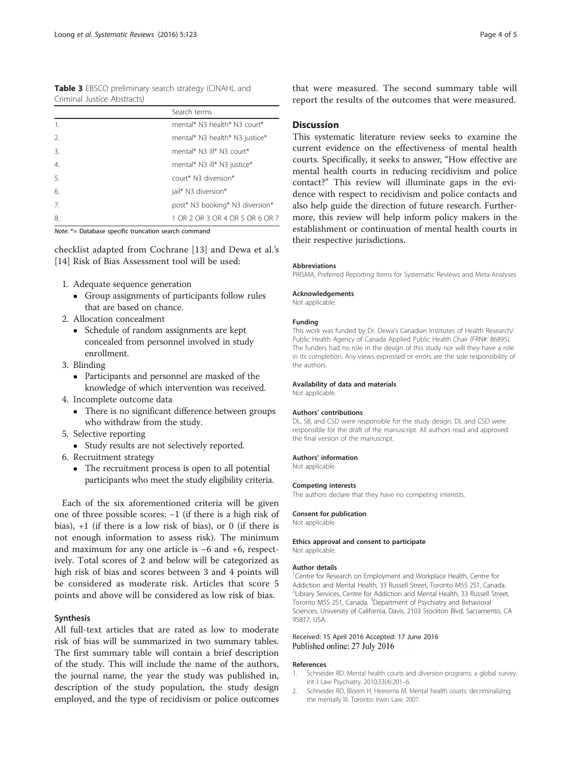<span id="page-3-0"></span>Table 3 EBSCO preliminary search strategy (CINAHL and Criminal Justice Abstracts)

|                  | Search terms                    |
|------------------|---------------------------------|
| 1.               | mental* N3 health* N3 court*    |
| $\mathfrak{D}$   | mental* N3 health* N3 justice*  |
| $\overline{3}$ . | mental* N3 ill* N3 court*       |
| $\overline{4}$ . | mental* N3 ill* N3 justice*     |
| 5.               | court* N3 diversion*            |
| 6.               | jail* N3 diversion*             |
| 7 <sub>1</sub>   | post* N3 booking* N3 diversion* |
| 8.               | 1 OR 2 OR 3 OR 4 OR 5 OR 6 OR 7 |

Note: \*= Database specific truncation search command

checklist adapted from Cochrane [[13\]](#page-4-0) and Dewa et al.'s [[14\]](#page-4-0) Risk of Bias Assessment tool will be used:

- 1. Adequate sequence generation
	- Group assignments of participants follow rules that are based on chance.
- 2. Allocation concealment
	- Schedule of random assignments are kept concealed from personnel involved in study enrollment.
- 3. Blinding
	- Participants and personnel are masked of the knowledge of which intervention was received.
- 4. Incomplete outcome data
	- There is no significant difference between groups who withdraw from the study.
- 5. Selective reporting
	- Study results are not selectively reported.
- 6. Recruitment strategy
	- The recruitment process is open to all potential participants who meet the study eligibility criteria.

Each of the six aforementioned criteria will be given one of three possible scores: −1 (if there is a high risk of bias), +1 (if there is a low risk of bias), or 0 (if there is not enough information to assess risk). The minimum and maximum for any one article is −6 and +6, respectively. Total scores of 2 and below will be categorized as high risk of bias and scores between 3 and 4 points will be considered as moderate risk. Articles that score 5 points and above will be considered as low risk of bias.

## Synthesis

All full-text articles that are rated as low to moderate risk of bias will be summarized in two summary tables. The first summary table will contain a brief description of the study. This will include the name of the authors, the journal name, the year the study was published in, description of the study population, the study design employed, and the type of recidivism or police outcomes that were measured. The second summary table will report the results of the outcomes that were measured.

## Discussion

This systematic literature review seeks to examine the current evidence on the effectiveness of mental health courts. Specifically, it seeks to answer, "How effective are mental health courts in reducing recidivism and police contact?" This review will illuminate gaps in the evidence with respect to recidivism and police contacts and also help guide the direction of future research. Furthermore, this review will help inform policy makers in the establishment or continuation of mental health courts in their respective jurisdictions.

#### Abbreviations

PRISMA, Preferred Reporting Items for Systematic Reviews and Meta-Analyses

#### Acknowledgements

Not applicable.

#### Funding

This work was funded by Dr. Dewa's Canadian Institutes of Health Research/ Public Health Agency of Canada Applied Public Health Chair (FRN#: 86895). The funders had no role in the design of this study nor will they have a role in its completion. Any views expressed or errors are the sole responsibility of the authors.

#### Availability of data and materials

Not applicable.

#### Authors' contributions

DL, SB, and CSD were responsible for the study design. DL and CSD were responsible for the draft of the manuscript. All authors read and approved the final version of the manuscript.

#### Authors' information

Not applicable.

### Competing interests

The authors declare that they have no competing interests.

#### Consent for publication

Not applicable.

#### Ethics approval and consent to participate Not applicable.

#### Author details

<sup>1</sup> Centre for Research on Employment and Workplace Health, Centre for Addiction and Mental Health, 33 Russell Street, Toronto M5S 2S1, Canada. <sup>2</sup> Library Services, Centre for Addiction and Mental Health, 33 Russell Street, Toronto M5S 2S1, Canada. <sup>3</sup>Department of Psychiatry and Behavioral Sciences, University of California, Davis, 2103 Stockton Blvd, Sacramento, CA 95817, USA.

## Received: 15 April 2016 Accepted: 17 June 2016 Published online: 27 July 2016

#### References

- 1. Schneider RD. Mental health courts and diversion programs: a global survey. Int J Law Psychiatry. 2010;33(4):201–6.
- 2. Schneider RD, Bloom H, Heerema M. Mental health courts: decriminalizing the mentally Ill. Toronto: Irwin Law; 2007.